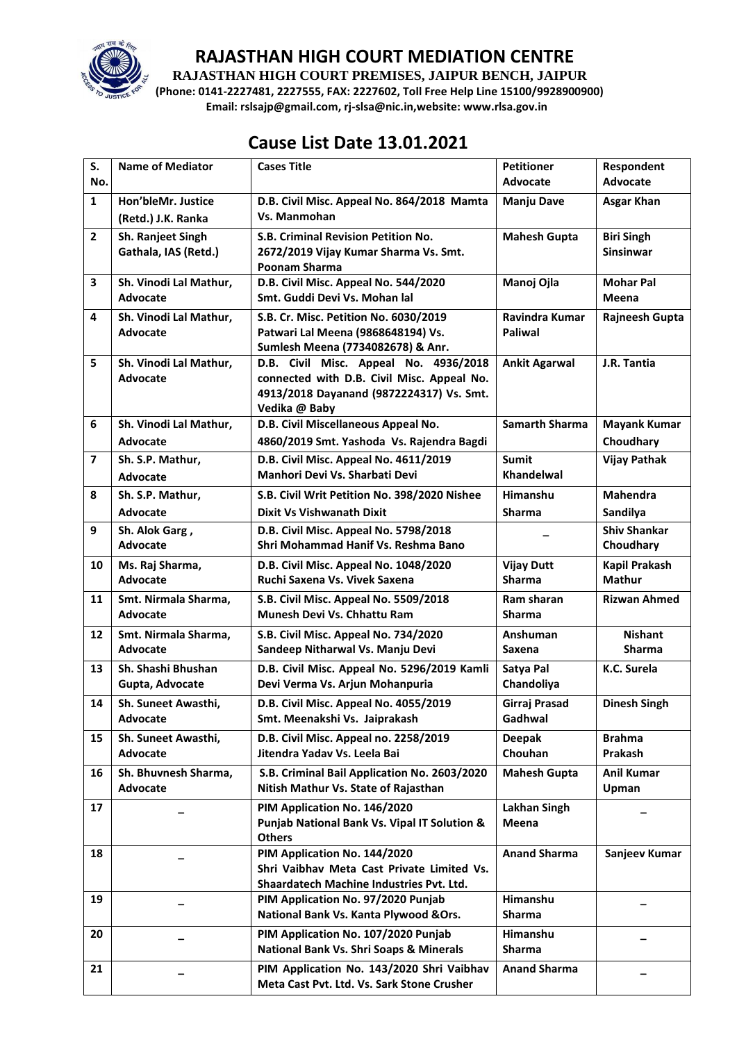

**RAJASTHAN HIGH COURT PREMISES, JAIPUR BENCH, JAIPUR**

**(Phone: 0141-2227481, 2227555, FAX: 2227602, Toll Free Help Line 15100/9928900900) Email: rslsajp@gmail.com, rj-slsa@nic.in,website: www.rlsa.gov.in**

# **Cause List Date 13.01.2021**

| S.                      | <b>Name of Mediator</b> | <b>Cases Title</b>                                                         | <b>Petitioner</b>     | Respondent            |
|-------------------------|-------------------------|----------------------------------------------------------------------------|-----------------------|-----------------------|
| No.                     |                         |                                                                            | <b>Advocate</b>       | <b>Advocate</b>       |
| $\mathbf{1}$            | Hon'bleMr. Justice      | D.B. Civil Misc. Appeal No. 864/2018 Mamta                                 | <b>Manju Dave</b>     | <b>Asgar Khan</b>     |
|                         | (Retd.) J.K. Ranka      | Vs. Manmohan                                                               |                       |                       |
| $\overline{2}$          | Sh. Ranjeet Singh       | S.B. Criminal Revision Petition No.                                        | <b>Mahesh Gupta</b>   | <b>Biri Singh</b>     |
|                         | Gathala, IAS (Retd.)    | 2672/2019 Vijay Kumar Sharma Vs. Smt.                                      |                       | <b>Sinsinwar</b>      |
|                         |                         | Poonam Sharma                                                              |                       |                       |
| 3                       | Sh. Vinodi Lal Mathur,  | D.B. Civil Misc. Appeal No. 544/2020                                       | Manoj Ojla            | <b>Mohar Pal</b>      |
|                         | Advocate                | Smt. Guddi Devi Vs. Mohan lal                                              |                       | Meena                 |
| $\overline{\mathbf{4}}$ | Sh. Vinodi Lal Mathur,  | S.B. Cr. Misc. Petition No. 6030/2019                                      | Ravindra Kumar        | <b>Rajneesh Gupta</b> |
|                         | Advocate                | Patwari Lal Meena (9868648194) Vs.                                         | <b>Paliwal</b>        |                       |
| 5                       | Sh. Vinodi Lal Mathur,  | Sumlesh Meena (7734082678) & Anr.<br>D.B. Civil Misc. Appeal No. 4936/2018 | <b>Ankit Agarwal</b>  | J.R. Tantia           |
|                         | Advocate                | connected with D.B. Civil Misc. Appeal No.                                 |                       |                       |
|                         |                         | 4913/2018 Dayanand (9872224317) Vs. Smt.                                   |                       |                       |
|                         |                         | Vedika @ Baby                                                              |                       |                       |
| 6                       | Sh. Vinodi Lal Mathur,  | D.B. Civil Miscellaneous Appeal No.                                        | <b>Samarth Sharma</b> | <b>Mayank Kumar</b>   |
|                         | Advocate                | 4860/2019 Smt. Yashoda Vs. Rajendra Bagdi                                  |                       | Choudhary             |
| $\overline{\mathbf{z}}$ | Sh. S.P. Mathur,        | D.B. Civil Misc. Appeal No. 4611/2019                                      | <b>Sumit</b>          | <b>Vijay Pathak</b>   |
|                         | Advocate                | Manhori Devi Vs. Sharbati Devi                                             | Khandelwal            |                       |
| 8                       | Sh. S.P. Mathur,        | S.B. Civil Writ Petition No. 398/2020 Nishee                               | Himanshu              | <b>Mahendra</b>       |
|                         | Advocate                | <b>Dixit Vs Vishwanath Dixit</b>                                           | <b>Sharma</b>         | Sandilya              |
| 9                       | Sh. Alok Garg,          | D.B. Civil Misc. Appeal No. 5798/2018                                      |                       | <b>Shiv Shankar</b>   |
|                         | Advocate                | Shri Mohammad Hanif Vs. Reshma Bano                                        |                       | Choudhary             |
| 10                      | Ms. Raj Sharma,         | D.B. Civil Misc. Appeal No. 1048/2020                                      | <b>Vijay Dutt</b>     | <b>Kapil Prakash</b>  |
|                         | Advocate                | Ruchi Saxena Vs. Vivek Saxena                                              | <b>Sharma</b>         | Mathur                |
| 11                      | Smt. Nirmala Sharma,    | S.B. Civil Misc. Appeal No. 5509/2018                                      | Ram sharan            | <b>Rizwan Ahmed</b>   |
|                         | Advocate                | Munesh Devi Vs. Chhattu Ram                                                | <b>Sharma</b>         |                       |
| 12                      | Smt. Nirmala Sharma,    | S.B. Civil Misc. Appeal No. 734/2020                                       | Anshuman              | <b>Nishant</b>        |
|                         | <b>Advocate</b>         | Sandeep Nitharwal Vs. Manju Devi                                           | <b>Saxena</b>         | <b>Sharma</b>         |
| 13                      | Sh. Shashi Bhushan      | D.B. Civil Misc. Appeal No. 5296/2019 Kamli                                | Satya Pal             | K.C. Surela           |
|                         | Gupta, Advocate         | Devi Verma Vs. Arjun Mohanpuria                                            | Chandoliya            |                       |
| 14                      | Sh. Suneet Awasthi,     | D.B. Civil Misc. Appeal No. 4055/2019                                      | Girraj Prasad         | <b>Dinesh Singh</b>   |
|                         | Advocate                | Smt. Meenakshi Vs. Jaiprakash                                              | Gadhwal               |                       |
| 15                      | Sh. Suneet Awasthi,     | D.B. Civil Misc. Appeal no. 2258/2019                                      | <b>Deepak</b>         | <b>Brahma</b>         |
|                         | Advocate                | Jitendra Yadav Vs. Leela Bai                                               | Chouhan               | Prakash               |
| 16                      | Sh. Bhuvnesh Sharma,    | S.B. Criminal Bail Application No. 2603/2020                               | <b>Mahesh Gupta</b>   | Anil Kumar            |
|                         | Advocate                | Nitish Mathur Vs. State of Rajasthan                                       |                       | Upman                 |
| 17                      |                         | PIM Application No. 146/2020                                               | <b>Lakhan Singh</b>   |                       |
|                         |                         | Punjab National Bank Vs. Vipal IT Solution &                               | Meena                 |                       |
|                         |                         | <b>Others</b>                                                              |                       |                       |
| 18                      |                         | PIM Application No. 144/2020<br>Shri Vaibhav Meta Cast Private Limited Vs. | <b>Anand Sharma</b>   | Sanjeev Kumar         |
|                         |                         | Shaardatech Machine Industries Pvt. Ltd.                                   |                       |                       |
| 19                      |                         | PIM Application No. 97/2020 Punjab                                         | Himanshu              |                       |
|                         |                         | National Bank Vs. Kanta Plywood & Ors.                                     | <b>Sharma</b>         |                       |
| 20                      |                         | PIM Application No. 107/2020 Punjab                                        | Himanshu              |                       |
|                         |                         | National Bank Vs. Shri Soaps & Minerals                                    | Sharma                |                       |
| 21                      |                         | PIM Application No. 143/2020 Shri Vaibhav                                  | <b>Anand Sharma</b>   |                       |
|                         |                         | Meta Cast Pvt. Ltd. Vs. Sark Stone Crusher                                 |                       |                       |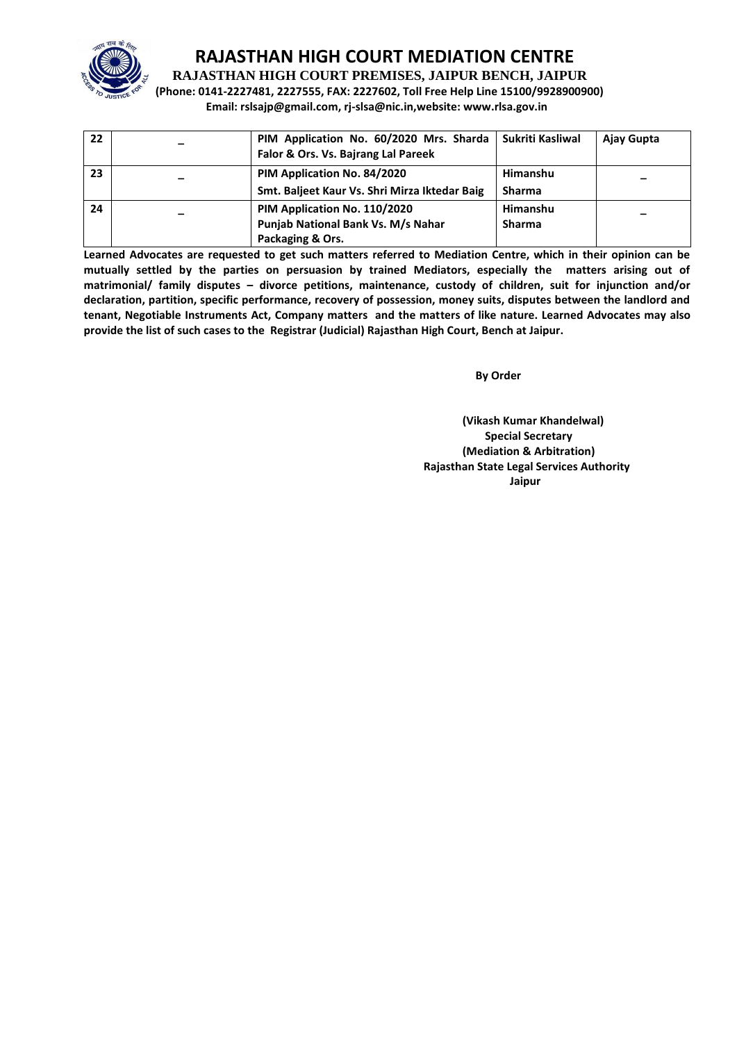

**RAJASTHAN HIGH COURT PREMISES, JAIPUR BENCH, JAIPUR**

**(Phone: 0141-2227481, 2227555, FAX: 2227602, Toll Free Help Line 15100/9928900900) Email: rslsajp@gmail.com, rj-slsa@nic.in,website: www.rlsa.gov.in**

| 22 | PIM Application No. 60/2020 Mrs. Sharda<br>Falor & Ors. Vs. Bajrang Lal Pareek         | Sukriti Kasliwal          | Ajay Gupta |
|----|----------------------------------------------------------------------------------------|---------------------------|------------|
| 23 | PIM Application No. 84/2020<br>Smt. Baljeet Kaur Vs. Shri Mirza Iktedar Baig           | Himanshu<br><b>Sharma</b> |            |
| 24 | PIM Application No. 110/2020<br>Punjab National Bank Vs. M/s Nahar<br>Packaging & Ors. | Himanshu<br><b>Sharma</b> |            |

**Learned Advocates are requested to get such matters referred to Mediation Centre, which in their opinion can be mutually settled by the parties on persuasion by trained Mediators, especially the matters arising out of matrimonial/ family disputes – divorce petitions, maintenance, custody of children, suit for injunction and/or declaration, partition, specific performance, recovery of possession, money suits, disputes between the landlord and tenant, Negotiable Instruments Act, Company matters and the matters of like nature. Learned Advocates may also provide the list of such cases to the Registrar (Judicial) Rajasthan High Court, Bench at Jaipur.** 

**By Order**  By Order **By Order** 

**(Vikash Kumar Khandelwal) Special Secretary (Mediation & Arbitration) Rajasthan State Legal Services Authority** ا **Jaipur** کار است که از این است که از این است که از این است که از این است که از این است که از این است که از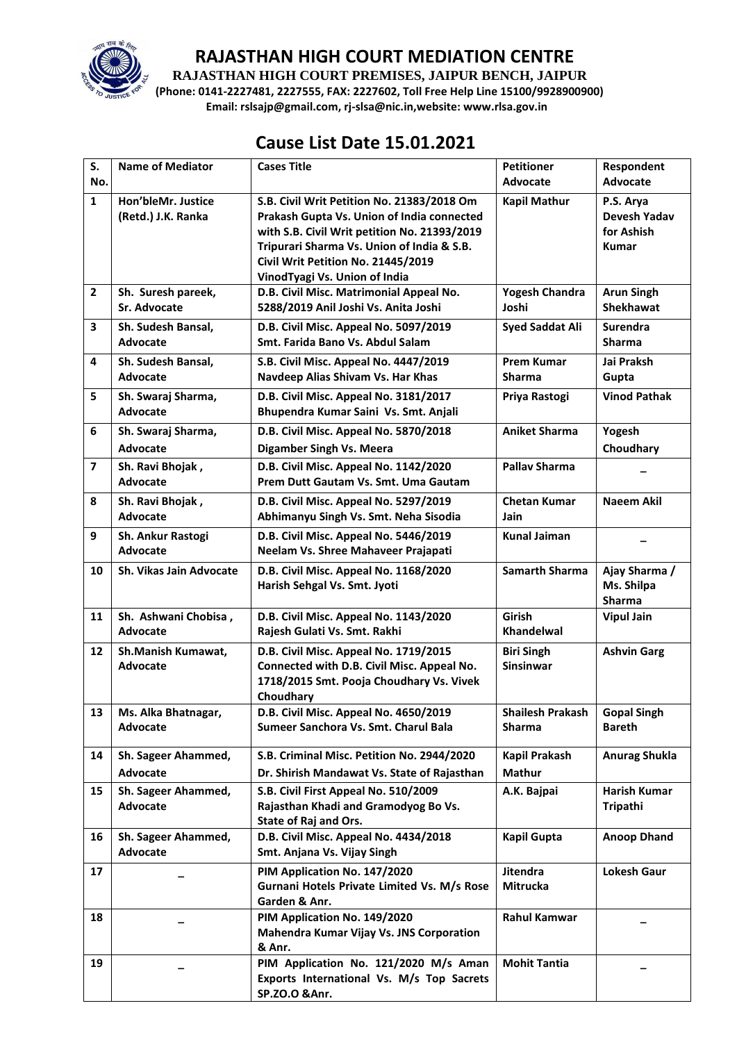

**RAJASTHAN HIGH COURT PREMISES, JAIPUR BENCH, JAIPUR**

**(Phone: 0141-2227481, 2227555, FAX: 2227602, Toll Free Help Line 15100/9928900900) Email: rslsajp@gmail.com, rj-slsa@nic.in,website: www.rlsa.gov.in**

# **Cause List Date 15.01.2021**

| S.                      | <b>Name of Mediator</b>                  | <b>Cases Title</b>                                                                       | <b>Petitioner</b>                     | Respondent                       |
|-------------------------|------------------------------------------|------------------------------------------------------------------------------------------|---------------------------------------|----------------------------------|
| No.                     |                                          |                                                                                          | <b>Advocate</b>                       | <b>Advocate</b>                  |
| $\mathbf{1}$            | Hon'bleMr. Justice<br>(Retd.) J.K. Ranka | S.B. Civil Writ Petition No. 21383/2018 Om<br>Prakash Gupta Vs. Union of India connected | <b>Kapil Mathur</b>                   | P.S. Arya<br><b>Devesh Yadav</b> |
|                         |                                          | with S.B. Civil Writ petition No. 21393/2019                                             |                                       | for Ashish                       |
|                         |                                          | Tripurari Sharma Vs. Union of India & S.B.                                               |                                       | <b>Kumar</b>                     |
|                         |                                          | Civil Writ Petition No. 21445/2019                                                       |                                       |                                  |
|                         |                                          | VinodTyagi Vs. Union of India                                                            |                                       |                                  |
| $\mathbf{2}$            | Sh. Suresh pareek,                       | D.B. Civil Misc. Matrimonial Appeal No.                                                  | <b>Yogesh Chandra</b>                 | <b>Arun Singh</b>                |
|                         | Sr. Advocate                             | 5288/2019 Anil Joshi Vs. Anita Joshi                                                     | Joshi                                 | <b>Shekhawat</b>                 |
| 3                       | Sh. Sudesh Bansal,                       | D.B. Civil Misc. Appeal No. 5097/2019<br>Smt. Farida Bano Vs. Abdul Salam                | <b>Syed Saddat Ali</b>                | <b>Surendra</b>                  |
|                         | Advocate                                 |                                                                                          |                                       | Sharma                           |
| 4                       | Sh. Sudesh Bansal,<br>Advocate           | S.B. Civil Misc. Appeal No. 4447/2019                                                    | <b>Prem Kumar</b><br><b>Sharma</b>    | Jai Praksh                       |
|                         |                                          | Navdeep Alias Shivam Vs. Har Khas                                                        |                                       | Gupta                            |
| 5                       | Sh. Swaraj Sharma,<br>Advocate           | D.B. Civil Misc. Appeal No. 3181/2017<br>Bhupendra Kumar Saini Vs. Smt. Anjali           | Priya Rastogi                         | <b>Vinod Pathak</b>              |
| 6                       |                                          |                                                                                          | <b>Aniket Sharma</b>                  | Yogesh                           |
|                         | Sh. Swaraj Sharma,<br><b>Advocate</b>    | D.B. Civil Misc. Appeal No. 5870/2018<br><b>Digamber Singh Vs. Meera</b>                 |                                       | Choudhary                        |
| $\overline{\mathbf{z}}$ | Sh. Ravi Bhojak,                         | D.B. Civil Misc. Appeal No. 1142/2020                                                    | <b>Pallav Sharma</b>                  |                                  |
|                         | Advocate                                 | Prem Dutt Gautam Vs. Smt. Uma Gautam                                                     |                                       |                                  |
| 8                       | Sh. Ravi Bhojak,                         | D.B. Civil Misc. Appeal No. 5297/2019                                                    | <b>Chetan Kumar</b>                   | <b>Naeem Akil</b>                |
|                         | Advocate                                 | Abhimanyu Singh Vs. Smt. Neha Sisodia                                                    | Jain                                  |                                  |
| 9                       | Sh. Ankur Rastogi                        | D.B. Civil Misc. Appeal No. 5446/2019                                                    | <b>Kunal Jaiman</b>                   |                                  |
|                         | Advocate                                 | Neelam Vs. Shree Mahaveer Prajapati                                                      |                                       |                                  |
| 10                      | Sh. Vikas Jain Advocate                  | D.B. Civil Misc. Appeal No. 1168/2020                                                    | <b>Samarth Sharma</b>                 | Ajay Sharma /                    |
|                         |                                          | Harish Sehgal Vs. Smt. Jyoti                                                             |                                       | Ms. Shilpa                       |
|                         |                                          |                                                                                          |                                       | Sharma                           |
| 11                      | Sh. Ashwani Chobisa,                     | D.B. Civil Misc. Appeal No. 1143/2020                                                    | <b>Girish</b>                         | <b>Vipul Jain</b>                |
|                         | Advocate                                 | Rajesh Gulati Vs. Smt. Rakhi                                                             | Khandelwal                            |                                  |
| 12                      | Sh.Manish Kumawat,                       | D.B. Civil Misc. Appeal No. 1719/2015                                                    | <b>Biri Singh</b><br><b>Sinsinwar</b> | <b>Ashvin Garg</b>               |
|                         | Advocate                                 | Connected with D.B. Civil Misc. Appeal No.<br>1718/2015 Smt. Pooja Choudhary Vs. Vivek   |                                       |                                  |
|                         |                                          | Choudhary                                                                                |                                       |                                  |
| 13                      | Ms. Alka Bhatnagar,                      | D.B. Civil Misc. Appeal No. 4650/2019                                                    | <b>Shailesh Prakash</b>               | Gopal Singh                      |
|                         | Advocate                                 | Sumeer Sanchora Vs. Smt. Charul Bala                                                     | <b>Sharma</b>                         | <b>Bareth</b>                    |
|                         |                                          |                                                                                          |                                       |                                  |
| 14                      | Sh. Sageer Ahammed,                      | S.B. Criminal Misc. Petition No. 2944/2020                                               | Kapil Prakash                         | <b>Anurag Shukla</b>             |
|                         | Advocate                                 | Dr. Shirish Mandawat Vs. State of Rajasthan                                              | Mathur                                |                                  |
| 15                      | Sh. Sageer Ahammed,<br>Advocate          | S.B. Civil First Appeal No. 510/2009<br>Rajasthan Khadi and Gramodyog Bo Vs.             | A.K. Bajpai                           | <b>Harish Kumar</b><br>Tripathi  |
|                         |                                          | State of Raj and Ors.                                                                    |                                       |                                  |
| 16                      | Sh. Sageer Ahammed,                      | D.B. Civil Misc. Appeal No. 4434/2018                                                    | <b>Kapil Gupta</b>                    | <b>Anoop Dhand</b>               |
|                         | Advocate                                 | Smt. Anjana Vs. Vijay Singh                                                              |                                       |                                  |
| 17                      |                                          | PIM Application No. 147/2020                                                             | <b>Jitendra</b>                       | <b>Lokesh Gaur</b>               |
|                         |                                          | Gurnani Hotels Private Limited Vs. M/s Rose                                              | Mitrucka                              |                                  |
|                         |                                          | Garden & Anr.                                                                            |                                       |                                  |
| 18                      |                                          | PIM Application No. 149/2020                                                             | Rahul Kamwar                          |                                  |
|                         |                                          | Mahendra Kumar Vijay Vs. JNS Corporation<br>& Anr.                                       |                                       |                                  |
| 19                      |                                          | PIM Application No. 121/2020 M/s Aman                                                    | <b>Mohit Tantia</b>                   |                                  |
|                         |                                          | Exports International Vs. M/s Top Sacrets                                                |                                       |                                  |
|                         |                                          | SP.ZO.O & Anr.                                                                           |                                       |                                  |